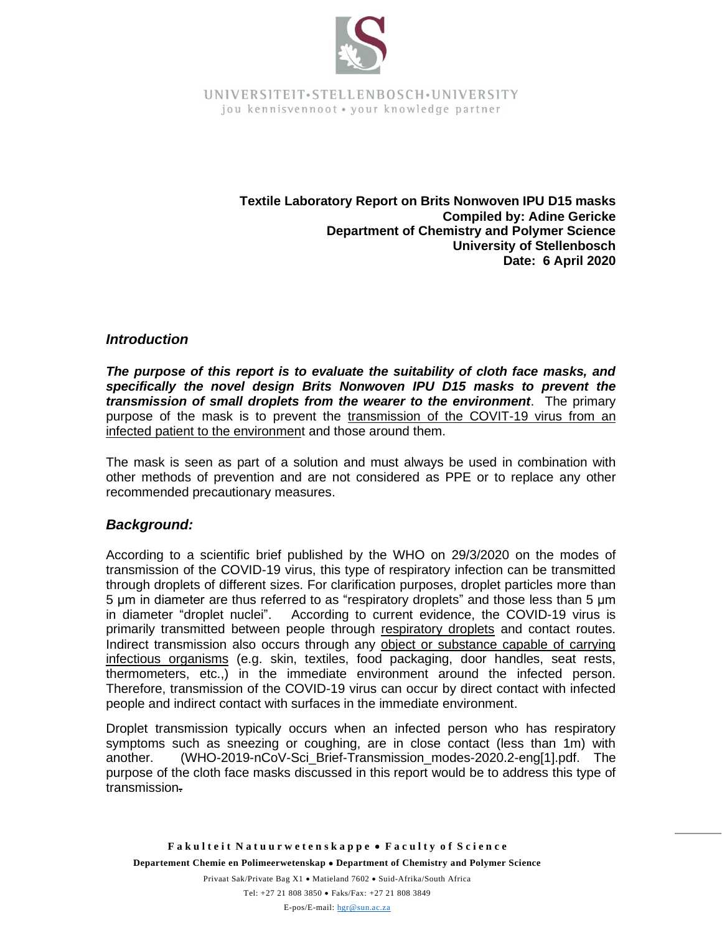

> **Textile Laboratory Report on Brits Nonwoven IPU D15 masks Compiled by: Adine Gericke Department of Chemistry and Polymer Science University of Stellenbosch Date: 6 April 2020**

### *Introduction*

*The purpose of this report is to evaluate the suitability of cloth face masks, and specifically the novel design Brits Nonwoven IPU D15 masks to prevent the transmission of small droplets from the wearer to the environment*. The primary purpose of the mask is to prevent the transmission of the COVIT-19 virus from an infected patient to the environment and those around them.

The mask is seen as part of a solution and must always be used in combination with other methods of prevention and are not considered as PPE or to replace any other recommended precautionary measures.

# *Background:*

According to a scientific brief published by the WHO on 29/3/2020 on the modes of transmission of the COVID-19 virus, this type of respiratory infection can be transmitted through droplets of different sizes. For clarification purposes, droplet particles more than 5 μm in diameter are thus referred to as "respiratory droplets" and those less than 5 μm in diameter "droplet nuclei". According to current evidence, the COVID-19 virus is primarily transmitted between people through respiratory droplets and contact routes. Indirect transmission also occurs through any object or substance capable of carrying infectious organisms (e.g. skin, textiles, food packaging, door handles, seat rests, thermometers, etc.,) in the immediate environment around the infected person. Therefore, transmission of the COVID-19 virus can occur by direct contact with infected people and indirect contact with surfaces in the immediate environment.

Droplet transmission typically occurs when an infected person who has respiratory symptoms such as sneezing or coughing, are in close contact (less than 1m) with another. (WHO-2019-nCoV-Sci\_Brief-Transmission\_modes-2020.2-eng[1].pdf. The purpose of the cloth face masks discussed in this report would be to address this type of transmission.

Privaat Sak/Private Bag X1 • Matieland 7602 • Suid-Afrika/South Africa Tel: +27 21 808 3850 • Faks/Fax: +27 21 808 3849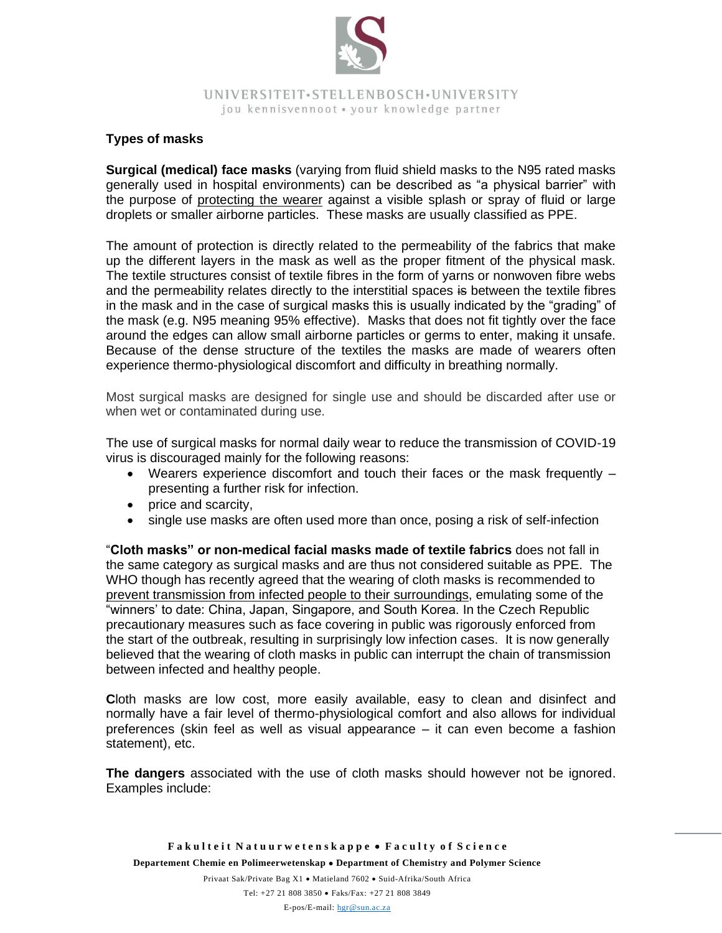

# **Types of masks**

**Surgical (medical) face masks** (varying from fluid shield masks to the N95 rated masks generally used in hospital environments) can be described as "a physical barrier" with the purpose of protecting the wearer against a visible splash or spray of fluid or large droplets or smaller airborne particles. These masks are usually classified as PPE.

The amount of protection is directly related to the permeability of the fabrics that make up the different layers in the mask as well as the proper fitment of the physical mask. The textile structures consist of textile fibres in the form of yarns or nonwoven fibre webs and the permeability relates directly to the interstitial spaces is between the textile fibres in the mask and in the case of surgical masks this is usually indicated by the "grading" of the mask (e.g. N95 meaning 95% effective). Masks that does not fit tightly over the face around the edges can allow small airborne particles or germs to enter, making it unsafe. Because of the dense structure of the textiles the masks are made of wearers often experience thermo-physiological discomfort and difficulty in breathing normally.

Most surgical masks are designed for single use and should be discarded after use or when wet or contaminated during use.

The use of surgical masks for normal daily wear to reduce the transmission of COVID-19 virus is discouraged mainly for the following reasons:

- Wearers experience discomfort and touch their faces or the mask frequently presenting a further risk for infection.
- price and scarcity,
- single use masks are often used more than once, posing a risk of self-infection

"**Cloth masks" or non-medical facial masks made of textile fabrics** does not fall in the same category as surgical masks and are thus not considered suitable as PPE. The WHO though has recently agreed that the wearing of cloth masks is recommended to prevent transmission from infected people to their surroundings, emulating some of the "winners' to date: China, Japan, Singapore, and South Korea. In the Czech Republic precautionary measures such as face covering in public was rigorously enforced from the start of the outbreak, resulting in surprisingly low infection cases. It is now generally believed that the wearing of cloth masks in public can interrupt the chain of transmission between infected and healthy people.

**C**loth masks are low cost, more easily available, easy to clean and disinfect and normally have a fair level of thermo-physiological comfort and also allows for individual preferences (skin feel as well as visual appearance – it can even become a fashion statement), etc.

**The dangers** associated with the use of cloth masks should however not be ignored. Examples include:

Privaat Sak/Private Bag X1 • Matieland 7602 • Suid-Afrika/South Africa Tel: +27 21 808 3850 • Faks/Fax: +27 21 808 3849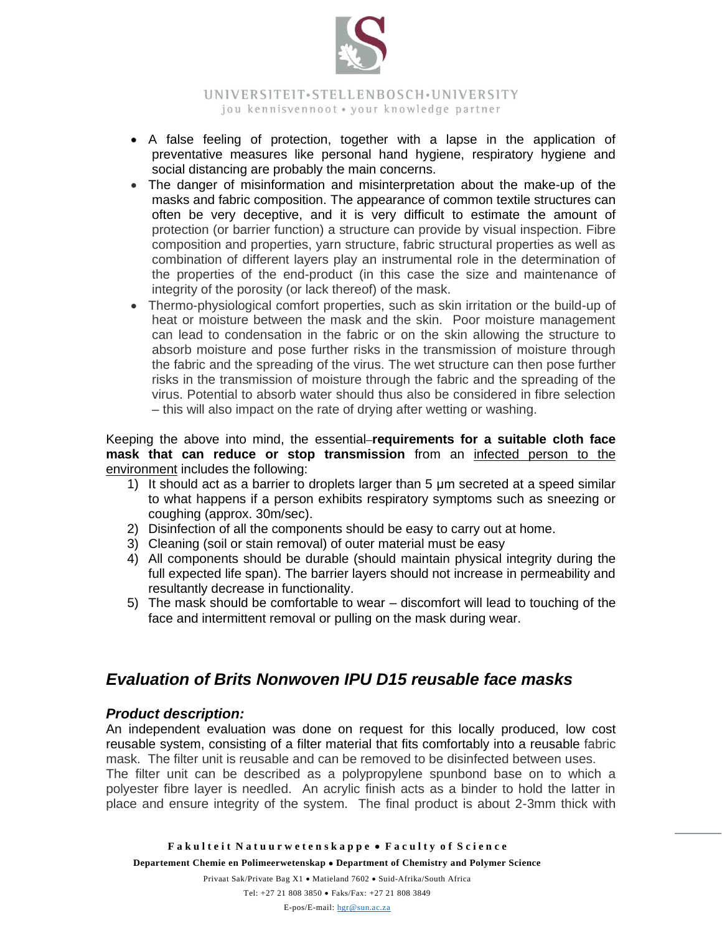

- A false feeling of protection, together with a lapse in the application of preventative measures like personal hand hygiene, respiratory hygiene and social distancing are probably the main concerns.
- The danger of misinformation and misinterpretation about the make-up of the masks and fabric composition. The appearance of common textile structures can often be very deceptive, and it is very difficult to estimate the amount of protection (or barrier function) a structure can provide by visual inspection. Fibre composition and properties, yarn structure, fabric structural properties as well as combination of different layers play an instrumental role in the determination of the properties of the end-product (in this case the size and maintenance of integrity of the porosity (or lack thereof) of the mask.
- Thermo-physiological comfort properties, such as skin irritation or the build-up of heat or moisture between the mask and the skin. Poor moisture management can lead to condensation in the fabric or on the skin allowing the structure to absorb moisture and pose further risks in the transmission of moisture through the fabric and the spreading of the virus. The wet structure can then pose further risks in the transmission of moisture through the fabric and the spreading of the virus. Potential to absorb water should thus also be considered in fibre selection – this will also impact on the rate of drying after wetting or washing.

Keeping the above into mind, the essential **requirements for a suitable cloth face mask that can reduce or stop transmission** from an infected person to the environment includes the following:

- 1) It should act as a barrier to droplets larger than 5 μm secreted at a speed similar to what happens if a person exhibits respiratory symptoms such as sneezing or coughing (approx. 30m/sec).
- 2) Disinfection of all the components should be easy to carry out at home.
- 3) Cleaning (soil or stain removal) of outer material must be easy
- 4) All components should be durable (should maintain physical integrity during the full expected life span). The barrier layers should not increase in permeability and resultantly decrease in functionality.
- 5) The mask should be comfortable to wear discomfort will lead to touching of the face and intermittent removal or pulling on the mask during wear.

# *Evaluation of Brits Nonwoven IPU D15 reusable face masks*

# *Product description:*

An independent evaluation was done on request for this locally produced, low cost reusable system, consisting of a filter material that fits comfortably into a reusable fabric mask. The filter unit is reusable and can be removed to be disinfected between uses.

The filter unit can be described as a polypropylene spunbond base on to which a polyester fibre layer is needled. An acrylic finish acts as a binder to hold the latter in place and ensure integrity of the system. The final product is about 2-3mm thick with

Privaat Sak/Private Bag X1 • Matieland 7602 • Suid-Afrika/South Africa

Tel: +27 21 808 3850 • Faks/Fax: +27 21 808 3849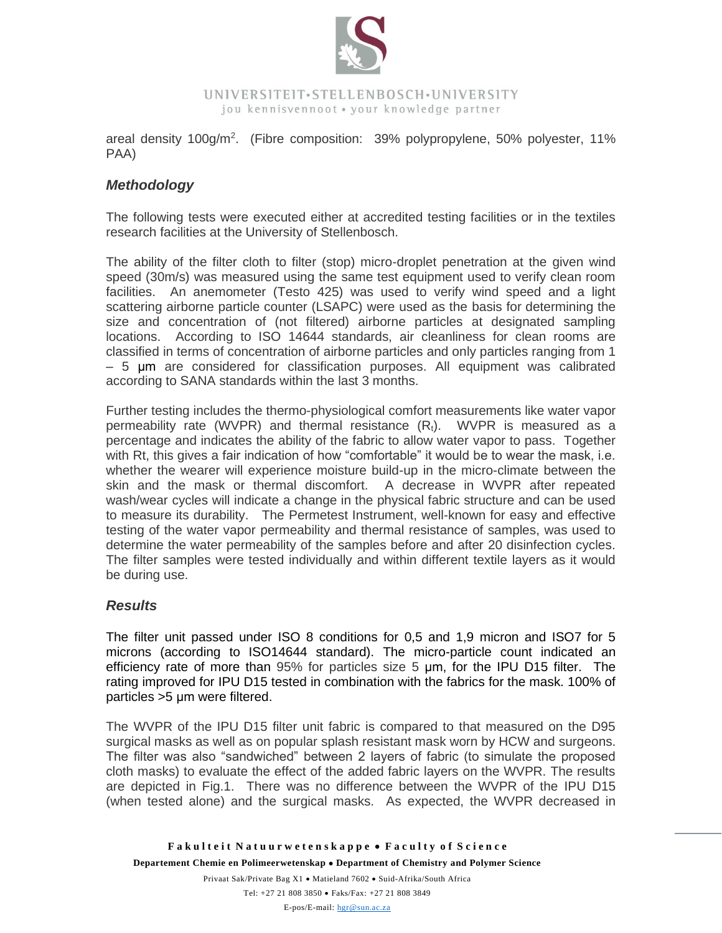

areal density 100g/m<sup>2</sup>. (Fibre composition: 39% polypropylene, 50% polyester, 11% PAA)

# *Methodology*

The following tests were executed either at accredited testing facilities or in the textiles research facilities at the University of Stellenbosch.

The ability of the filter cloth to filter (stop) micro-droplet penetration at the given wind speed (30m/s) was measured using the same test equipment used to verify clean room facilities. An anemometer (Testo 425) was used to verify wind speed and a light scattering airborne particle counter (LSAPC) were used as the basis for determining the size and concentration of (not filtered) airborne particles at designated sampling locations. According to ISO 14644 standards, air cleanliness for clean rooms are classified in terms of concentration of airborne particles and only particles ranging from 1 – 5 μm are considered for classification purposes. All equipment was calibrated according to SANA standards within the last 3 months.

Further testing includes the thermo-physiological comfort measurements like water vapor permeability rate (WVPR) and thermal resistance  $(R_t)$ . WVPR is measured as a percentage and indicates the ability of the fabric to allow water vapor to pass. Together with Rt, this gives a fair indication of how "comfortable" it would be to wear the mask, i.e. whether the wearer will experience moisture build-up in the micro-climate between the skin and the mask or thermal discomfort. A decrease in WVPR after repeated wash/wear cycles will indicate a change in the physical fabric structure and can be used to measure its durability. The Permetest Instrument, well-known for easy and effective testing of the water vapor permeability and thermal resistance of samples, was used to determine the water permeability of the samples before and after 20 disinfection cycles. The filter samples were tested individually and within different textile layers as it would be during use.

# *Results*

The filter unit passed under ISO 8 conditions for 0,5 and 1,9 micron and ISO7 for 5 microns (according to ISO14644 standard). The micro-particle count indicated an efficiency rate of more than 95% for particles size 5 μm, for the IPU D15 filter. The rating improved for IPU D15 tested in combination with the fabrics for the mask. 100% of particles >5 μm were filtered.

The WVPR of the IPU D15 filter unit fabric is compared to that measured on the D95 surgical masks as well as on popular splash resistant mask worn by HCW and surgeons. The filter was also "sandwiched" between 2 layers of fabric (to simulate the proposed cloth masks) to evaluate the effect of the added fabric layers on the WVPR. The results are depicted in Fig.1. There was no difference between the WVPR of the IPU D15 (when tested alone) and the surgical masks. As expected, the WVPR decreased in

Privaat Sak/Private Bag X1 • Matieland 7602 • Suid-Afrika/South Africa Tel: +27 21 808 3850 • Faks/Fax: +27 21 808 3849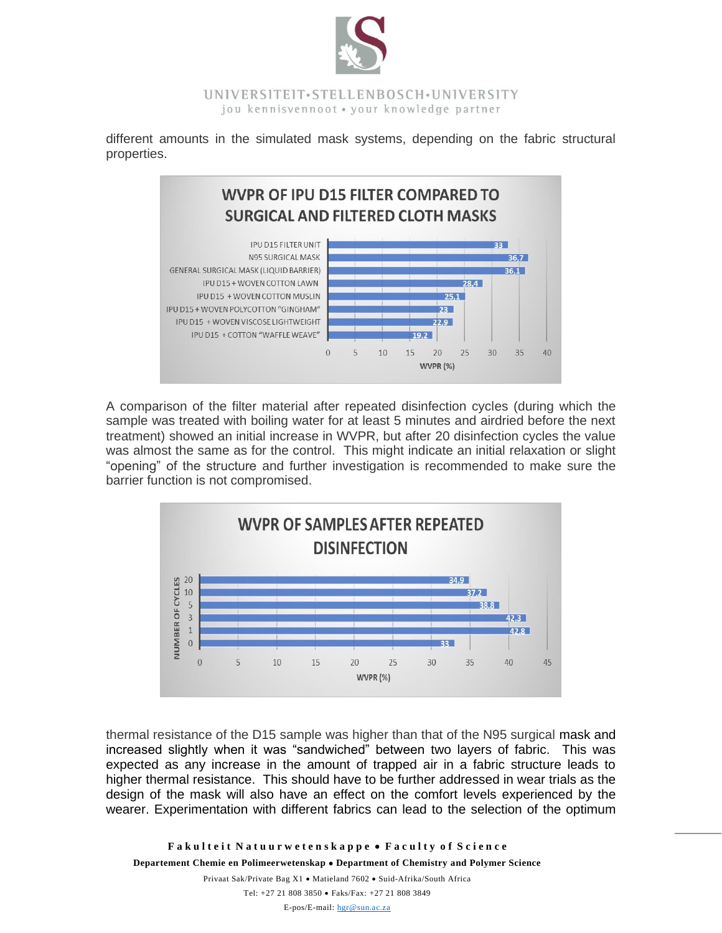

different amounts in the simulated mask systems, depending on the fabric structural properties.



A comparison of the filter material after repeated disinfection cycles (during which the sample was treated with boiling water for at least 5 minutes and airdried before the next treatment) showed an initial increase in WVPR, but after 20 disinfection cycles the value was almost the same as for the control. This might indicate an initial relaxation or slight "opening" of the structure and further investigation is recommended to make sure the barrier function is not compromised.



thermal resistance of the D15 sample was higher than that of the N95 surgical mask and increased slightly when it was "sandwiched" between two layers of fabric. This was expected as any increase in the amount of trapped air in a fabric structure leads to higher thermal resistance. This should have to be further addressed in wear trials as the design of the mask will also have an effect on the comfort levels experienced by the wearer. Experimentation with different fabrics can lead to the selection of the optimum

**F a k u l t e i t N a t u u r w e t e n s k a p p e** • **F a c u l t y o f S c i e n c e Departement Chemie en Polimeerwetenskap** • **Department of Chemistry and Polymer Science**

Privaat Sak/Private Bag X1 • Matieland 7602 • Suid-Afrika/South Africa Tel: +27 21 808 3850 • Faks/Fax: +27 21 808 3849 E-pos/E-mail: [hgr@sun.ac.za](mailto:hgr@sun.ac.za)